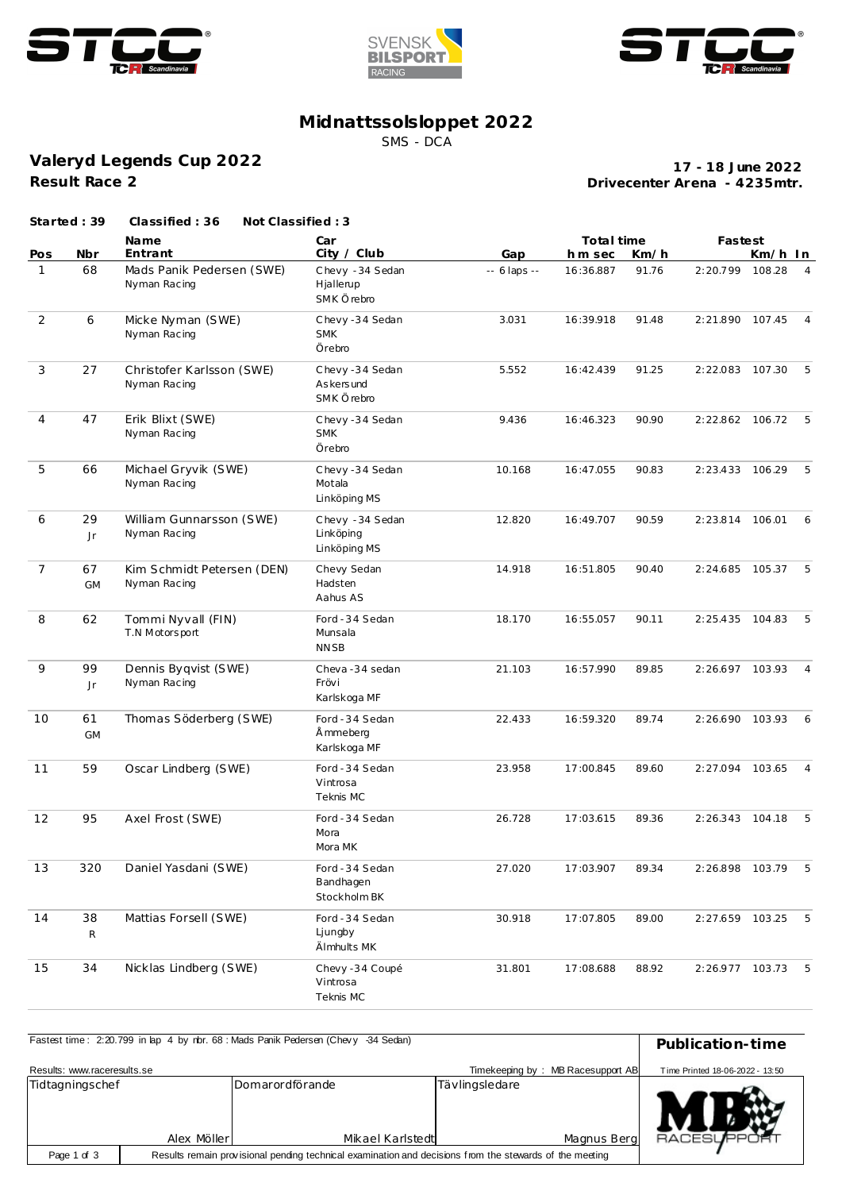





## **Midnattssolsloppet 2022**

SMS - DCA

**Valeryd Legends Cup 2022 Result Race 2**

**Drivecenter Arena - 4235mtr. 17 - 18 June 2022**

|                | Started: 39        | Classified: 36<br>Not Classified: 3        |                                               |               |            |       |                 |         |                |
|----------------|--------------------|--------------------------------------------|-----------------------------------------------|---------------|------------|-------|-----------------|---------|----------------|
|                |                    | Name                                       | Car                                           |               | Total time |       | Fastest         |         |                |
| Pos            | Nbr                | Entrant                                    | City / Club                                   | Gap           | hm sec     | Km/h  |                 | Km/h In |                |
| $\mathbf{1}$   | 68                 | Mads Panik Pedersen (SWE)<br>Nyman Racing  | Chevy - 34 Sedan<br>Hjallerup<br>SMK Örebro   | $-6$ laps $-$ | 16:36.887  | 91.76 | 2:20.799        | 108.28  | $\overline{4}$ |
| $\overline{2}$ | 6                  | Micke Nyman (SWE)<br>Nyman Racing          | Chevy-34 Sedan<br><b>SMK</b><br>Örebro        | 3.031         | 16:39.918  | 91.48 | 2:21.890        | 107.45  | $\overline{4}$ |
| 3              | 27                 | Christofer Karlsson (SWE)<br>Nyman Racing  | Chevy-34 Sedan<br>As kers und<br>SMK Örebro   | 5.552         | 16:42.439  | 91.25 | 2:22.083 107.30 |         | 5              |
| $\overline{4}$ | 47                 | Erik Blixt (SWE)<br>Nyman Racing           | Chevy-34 Sedan<br><b>SMK</b><br>Örebro        | 9.436         | 16:46.323  | 90.90 | 2:22.862 106.72 |         | 5              |
| 5              | 66                 | Michael Gryvik (SWE)<br>Nyman Racing       | Chevy-34 Sedan<br>Motala<br>Linköping MS      | 10.168        | 16:47.055  | 90.83 | 2:23.433 106.29 |         | 5              |
| 6              | 29<br>Jr           | William Gunnarsson (SWE)<br>Nyman Racing   | Chevy - 34 Sedan<br>Linköping<br>Linköping MS | 12.820        | 16:49.707  | 90.59 | 2:23.814 106.01 |         | 6              |
| $\overline{7}$ | 67<br><b>GM</b>    | Kim Schmidt Petersen (DEN)<br>Nyman Racing | Chevy Sedan<br>Hadsten<br>Aahus AS            | 14.918        | 16:51.805  | 90.40 | 2:24.685 105.37 |         | 5              |
| 8              | 62                 | Tommi Nyvall (FIN)<br>T.N Motorsport       | Ford - 34 Sedan<br>Munsala<br><b>NNSB</b>     | 18.170        | 16:55.057  | 90.11 | 2:25.435 104.83 |         | 5              |
| 9              | 99<br>Jr           | Dennis Byqvist (SWE)<br>Nyman Racing       | Cheva-34 sedan<br>Frövi<br>Karlskoga MF       | 21.103        | 16:57.990  | 89.85 | 2:26.697 103.93 |         | $\overline{4}$ |
| 10             | 61<br><b>GM</b>    | Thomas Söderberg (SWE)                     | Ford - 34 Sedan<br>Å mmeberg<br>Karlskoga MF  | 22.433        | 16:59.320  | 89.74 | 2:26.690 103.93 |         | $6^{\circ}$    |
| 11             | 59                 | Oscar Lindberg (SWE)                       | Ford - 34 Sedan<br>Vintrosa<br>Teknis MC      | 23.958        | 17:00.845  | 89.60 | 2:27.094 103.65 |         | $\overline{4}$ |
| 12             | 95                 | Axel Frost (SWE)                           | Ford - 34 Sedan<br>Mora<br>Mora MK            | 26.728        | 17:03.615  | 89.36 | 2:26.343        | 104.18  | 5              |
| 13             | 320                | Daniel Yasdani (SWE)                       | Ford - 34 Sedan<br>Bandhagen<br>Stockholm BK  | 27.020        | 17:03.907  | 89.34 | 2:26.898 103.79 |         | 5              |
| 14             | 38<br>$\mathsf{R}$ | Mattias Forsell (SWE)                      | Ford - 34 Sedan<br>Ljungby<br>Älmhults MK     | 30.918        | 17:07.805  | 89.00 | 2:27.659 103.25 |         | 5              |
| 15             | 34                 | Nicklas Lindberg (SWE)                     | Chevy -34 Coupé<br>Vintrosa<br>Teknis MC      | 31.801        | 17:08.688  | 88.92 | 2:26.977 103.73 |         | -5             |

| Fastest time: 2:20.799 in lap 4 by nbr. 68 : Mads Panik Pedersen (Chevy -34 Sedan) | Publication-time |                                                                                                         |                |                                   |                                 |
|------------------------------------------------------------------------------------|------------------|---------------------------------------------------------------------------------------------------------|----------------|-----------------------------------|---------------------------------|
|                                                                                    |                  |                                                                                                         |                |                                   |                                 |
|                                                                                    |                  |                                                                                                         |                |                                   |                                 |
| Results: www.raceresults.se                                                        |                  |                                                                                                         |                | Timekeeping by: MB Racesupport AB | Time Printed 18-06-2022 - 13:50 |
| Tidtagningschef                                                                    |                  | Domarordförande                                                                                         | Tävlingsledare |                                   |                                 |
|                                                                                    |                  |                                                                                                         |                |                                   |                                 |
|                                                                                    |                  |                                                                                                         |                |                                   |                                 |
|                                                                                    |                  |                                                                                                         |                |                                   |                                 |
|                                                                                    |                  |                                                                                                         |                |                                   |                                 |
|                                                                                    |                  |                                                                                                         |                |                                   |                                 |
|                                                                                    | Alex Möller      | Mikael Karlstedt                                                                                        |                | Magnus Berg                       | <b>RACESLIFPORT</b>             |
| Page 1 of 3                                                                        |                  | Results remain provisional pending technical examination and decisions from the stewards of the meeting |                |                                   |                                 |
|                                                                                    |                  |                                                                                                         |                |                                   |                                 |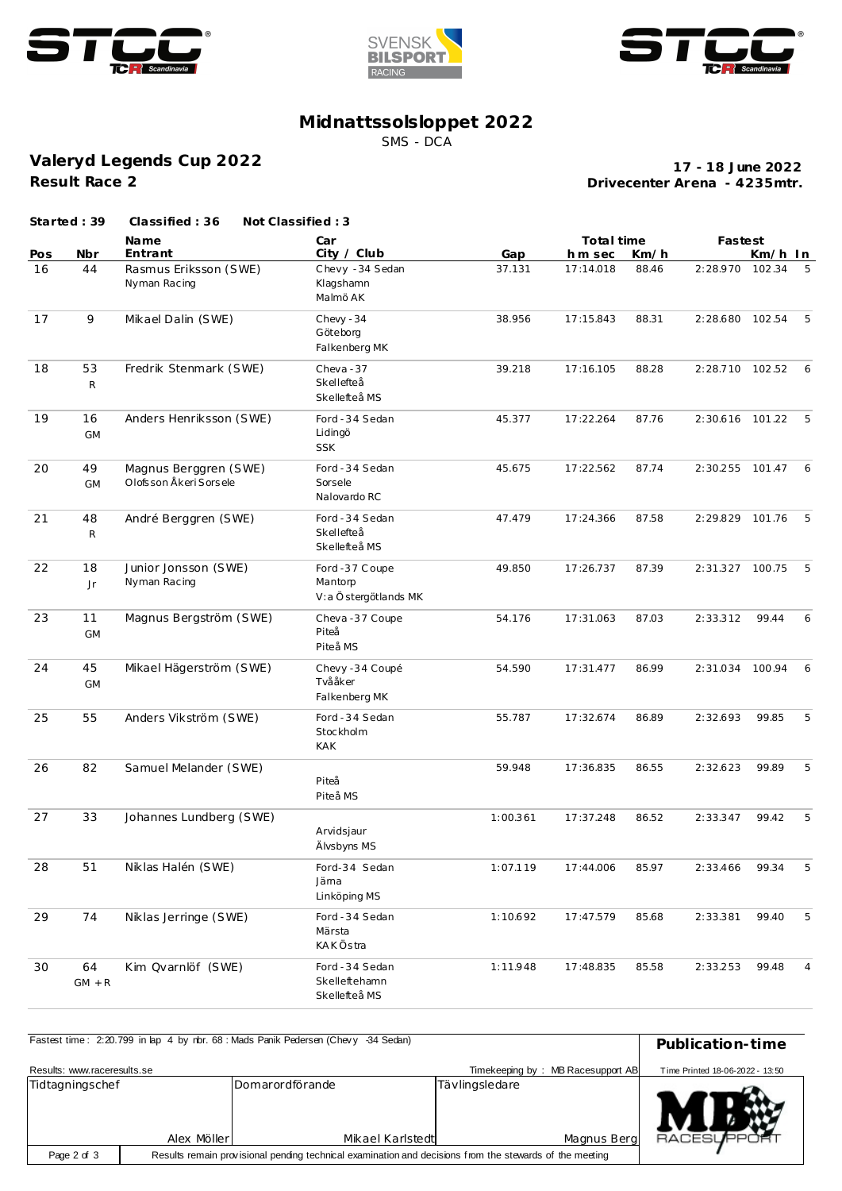





## **Midnattssolsloppet 2022**

SMS - DCA

**Valeryd Legends Cup 2022 Result Race 2**

**Drivecenter Arena - 4235mtr. 17 - 18 June 2022**

|     | Started: 39     | Classified: 36                                    | Not Classified: 3                                 |          |            |       |                 |         |                |
|-----|-----------------|---------------------------------------------------|---------------------------------------------------|----------|------------|-------|-----------------|---------|----------------|
|     |                 | Name                                              | Car                                               |          | Total time |       | Fastest         |         |                |
| Pos | Nbr             | Entrant                                           | City / Club                                       | Gap      | hm sec     | Km/h  |                 | Km/h In |                |
| 16  | 44              | Rasmus Eriksson (SWE)<br>Nyman Racing             | Chevy - 34 Sedan<br>Klagshamn<br>Malmö AK         | 37.131   | 17:14.018  | 88.46 | 2:28.970        | 102.34  | 5              |
| 17  | 9               | Mikael Dalin (SWE)                                | Chevy - 34<br>Göteborg<br>Falkenberg MK           | 38.956   | 17:15.843  | 88.31 | 2:28.680 102.54 |         | 5              |
| 18  | 53<br>${\sf R}$ | Fredrik Stenmark (SWE)                            | Cheva-37<br>Skellefteå<br>Skellefteå MS           | 39.218   | 17:16.105  | 88.28 | 2:28.710 102.52 |         | 6              |
| 19  | 16<br><b>GM</b> | Anders Henriksson (SWE)                           | Ford - 34 Sedan<br>Lidingö<br><b>SSK</b>          | 45.377   | 17:22.264  | 87.76 | 2:30.616 101.22 |         | - 5            |
| 20  | 49<br><b>GM</b> | Magnus Berggren (SWE)<br>Olofs son Åkeri Sors ele | Ford - 34 Sedan<br>Sorsele<br>Nalovardo RC        | 45.675   | 17:22.562  | 87.74 | 2:30.255 101.47 |         | 6              |
| 21  | 48<br>${\sf R}$ | André Berggren (SWE)                              | Ford - 34 Sedan<br>Skellefteå<br>Skellefteå MS    | 47.479   | 17:24.366  | 87.58 | 2:29.829 101.76 |         | 5              |
| 22  | 18<br>Jr        | Junior Jonsson (SWE)<br>Nyman Racing              | Ford -37 Coupe<br>Mantorp<br>V:a Östergötlands MK | 49.850   | 17:26.737  | 87.39 | 2:31.327 100.75 |         | 5              |
| 23  | 11<br><b>GM</b> | Magnus Bergström (SWE)                            | Cheva-37 Coupe<br>Piteå<br>Piteå MS               | 54.176   | 17:31.063  | 87.03 | 2:33.312        | 99.44   | 6              |
| 24  | 45<br><b>GM</b> | Mikael Hägerström (SWE)                           | Chevy -34 Coupé<br>Tvååker<br>Falkenberg MK       | 54.590   | 17:31.477  | 86.99 | 2:31.034        | 100.94  | 6              |
| 25  | 55              | Anders Vikström (SWE)                             | Ford - 34 Sedan<br>Stockholm<br><b>KAK</b>        | 55.787   | 17:32.674  | 86.89 | 2:32.693        | 99.85   | 5              |
| 26  | 82              | Samuel Melander (SWE)                             | Piteå<br>Piteå MS                                 | 59.948   | 17:36.835  | 86.55 | 2:32.623        | 99.89   | 5              |
| 27  | 33              | Johannes Lundberg (SWE)                           | Arvidsjaur<br>Älvsbyns MS                         | 1:00.361 | 17:37.248  | 86.52 | 2:33.347        | 99.42   | 5              |
| 28  | 51              | Niklas Halén (SWE)                                | Ford-34 Sedan<br>Jäma<br>Linköping MS             | 1:07.119 | 17:44.006  | 85.97 | 2:33.466        | 99.34   | 5              |
| 29  | 74              | Niklas Jerringe (SWE)                             | Ford - 34 Sedan<br>Märsta<br><b>KAKÖstra</b>      | 1:10.692 | 17:47.579  | 85.68 | 2:33.381        | 99.40   | 5              |
| 30  | 64<br>$GM + R$  | Kim Qvarnlöf (SWE)                                | Ford - 34 Sedan<br>Skelleftehamn<br>Skellefteå MS | 1:11.948 | 17:48.835  | 85.58 | 2:33.253        | 99.48   | $\overline{4}$ |

|                                                                                                                        |                  | Fastest time: 2:20.799 in lap 4 by rbr. 68 : Mads Panik Pedersen (Chevy -34 Sedan) |                |                                   |                                 |
|------------------------------------------------------------------------------------------------------------------------|------------------|------------------------------------------------------------------------------------|----------------|-----------------------------------|---------------------------------|
|                                                                                                                        | Publication-time |                                                                                    |                |                                   |                                 |
| Results: www.raceresults.se                                                                                            |                  |                                                                                    |                | Timekeeping by: MB Racesupport AB | Time Printed 18-06-2022 - 13:50 |
| Tidtagningschef                                                                                                        |                  | <b>IDomarordförande</b>                                                            | Tävlingsledare |                                   |                                 |
|                                                                                                                        | Alex Möller      | Mikael Karlstedt                                                                   |                | Magnus Berg                       | <b>RACESLIPPO</b>               |
| Results remain provisional pending technical examination and decisions from the stewards of the meeting<br>Page 2 of 3 |                  |                                                                                    |                |                                   |                                 |